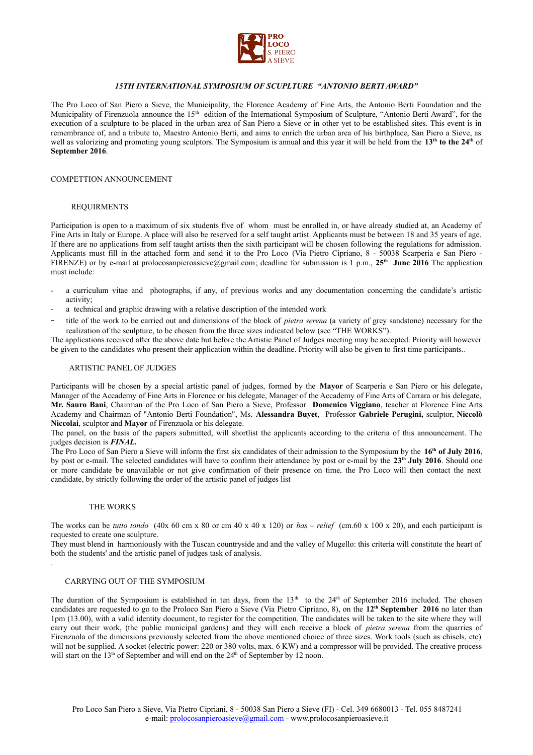

## *15TH INTERNATIONAL SYMPOSIUM OF SCUPLTURE "ANTONIO BERTI AWARD"*

The Pro Loco of San Piero a Sieve, the Municipality, the Florence Academy of Fine Arts, the Antonio Berti Foundation and the Municipality of Firenzuola announce the 15<sup>th</sup> edition of the International Symposium of Sculpture, "Antonio Berti Award", for the execution of a sculpture to be placed in the urban area of San Piero a Sieve or in other yet to be established sites. This event is in remembrance of, and a tribute to, Maestro Antonio Berti, and aims to enrich the urban area of his birthplace, San Piero a Sieve, as well as valorizing and promoting young sculptors. The Symposium is annual and this year it will be held from the **13th to the 24th** of **September 2016**.

### COMPETTION ANNOUNCEMENT

### REQUIRMENTS

Participation is open to a maximum of six students five of whom must be enrolled in, or have already studied at, an Academy of Fine Arts in Italy or Europe. A place will also be reserved for a self taught artist. Applicants must be between 18 and 35 years of age. If there are no applications from self taught artists then the sixth participant will be chosen following the regulations for admission. Applicants must fill in the attached form and send it to the Pro Loco (Via Pietro Cipriano, 8 - 50038 Scarperia e San Piero - FIRENZE) or by e-mail at prolocosanpieroasieve@gmail.com; deadline for submission is 1 p.m., **25th June 2016** The application must include:

- a curriculum vitae and photographs, if any, of previous works and any documentation concerning the candidate's artistic activity;
- a technical and graphic drawing with a relative description of the intended work
- title of the work to be carried out and dimensions of the block of *pietra serena* (a variety of grey sandstone) necessary for the realization of the sculpture, to be chosen from the three sizes indicated below (see "THE WORKS").

The applications received after the above date but before the Artistic Panel of Judges meeting may be accepted. Priority will however be given to the candidates who present their application within the deadline. Priority will also be given to first time participants..

### ARTISTIC PANEL OF JUDGES

Participants will be chosen by a special artistic panel of judges, formed by the **Mayor** of Scarperia e San Piero or his delegate**,** Manager of the Accademy of Fine Arts in Florence or his delegate, Manager of the Accademy of Fine Arts of Carrara or his delegate, **Mr. Sauro Bani**, Chairman of the Pro Loco of San Piero a Sieve, Professor **Domenico Viggiano**, teacher at Florence Fine Arts Academy and Chairman of "Antonio Berti Foundation", Ms. **Alessandra Buyet**, Professor **Gabriele Perugini,** sculptor, **Niccolò Niccolai**, sculptor and **Mayor** of Firenzuola or his delegate.

The panel, on the basis of the papers submitted, will shortlist the applicants according to the criteria of this announcement. The judges decision is *FINAL.*

The Pro Loco of San Piero a Sieve will inform the first six candidates of their admission to the Symposium by the **16th of July 2016**, by post or e-mail. The selected candidates will have to confirm their attendance by post or e-mail by the **23th July 2016**. Should one or more candidate be unavailable or not give confirmation of their presence on time, the Pro Loco will then contact the next candidate, by strictly following the order of the artistic panel of judges list

## THE WORKS

.

The works can be *tutto tondo* (40x 60 cm x 80 or cm 40 x 40 x 120) or *bas – relief* (cm.60 x 100 x 20), and each participant is requested to create one sculpture.

They must blend in harmoniously with the Tuscan countryside and and the valley of Mugello: this criteria will constitute the heart of both the students' and the artistic panel of judges task of analysis.

#### CARRYING OUT OF THE SYMPOSIUM

The duration of the Symposium is established in ten days, from the  $13<sup>th</sup>$  to the  $24<sup>th</sup>$  of September 2016 included. The chosen candidates are requested to go to the Proloco San Piero a Sieve (Via Pietro Cipriano, 8), on the **12th September 2016** no later than 1pm (13.00), with a valid identity document, to register for the competition. The candidates will be taken to the site where they will carry out their work, (the public municipal gardens) and they will each receive a block of *pietra serena* from the quarries of Firenzuola of the dimensions previously selected from the above mentioned choice of three sizes. Work tools (such as chisels, etc) will not be supplied. A socket (electric power: 220 or 380 volts, max. 6 KW) and a compressor will be provided. The creative process will start on the 13<sup>th</sup> of September and will end on the 24<sup>th</sup> of September by 12 noon.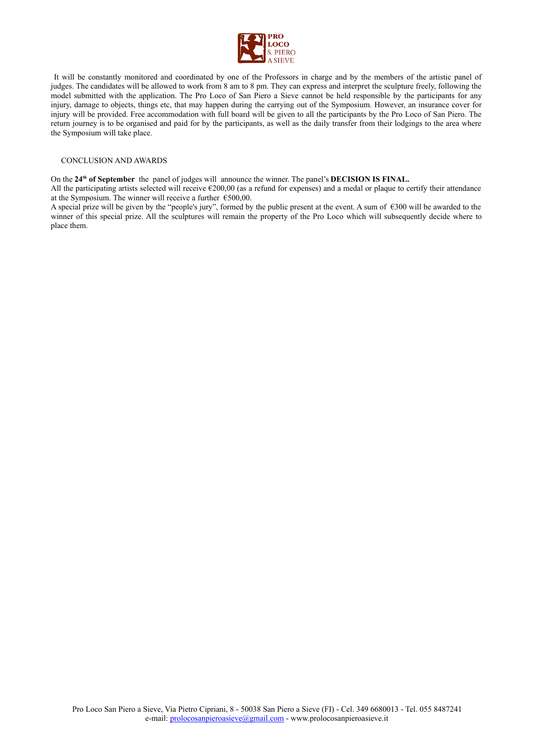

 It will be constantly monitored and coordinated by one of the Professors in charge and by the members of the artistic panel of judges. The candidates will be allowed to work from 8 am to 8 pm. They can express and interpret the sculpture freely, following the model submitted with the application. The Pro Loco of San Piero a Sieve cannot be held responsible by the participants for any injury, damage to objects, things etc, that may happen during the carrying out of the Symposium. However, an insurance cover for injury will be provided. Free accommodation with full board will be given to all the participants by the Pro Loco of San Piero. The return journey is to be organised and paid for by the participants, as well as the daily transfer from their lodgings to the area where the Symposium will take place.

### CONCLUSION AND AWARDS

On the **24th of September** the panel of judges will announce the winner. The panel's **DECISION IS FINAL.**

All the participating artists selected will receive  $\epsilon$ 200,00 (as a refund for expenses) and a medal or plaque to certify their attendance at the Symposium. The winner will receive a further  $\epsilon$ 500,00.

A special prize will be given by the "people's jury", formed by the public present at the event. A sum of €300 will be awarded to the winner of this special prize. All the sculptures will remain the property of the Pro Loco which will subsequently decide where to place them.